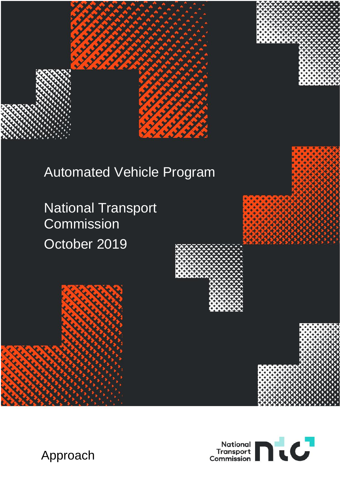

# Automated Vehicle Program

National Transport **Commission** October 2019







Approach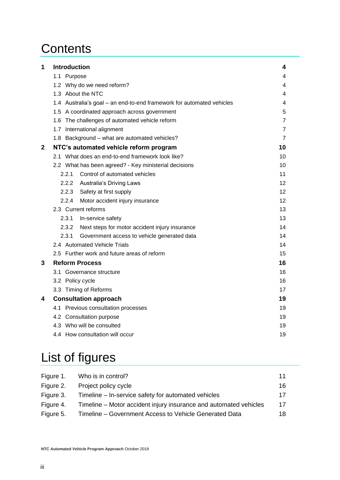# **Contents**

| 1           | <b>Introduction</b>                                                   | 4              |  |  |  |
|-------------|-----------------------------------------------------------------------|----------------|--|--|--|
|             | 1.1 Purpose                                                           | 4              |  |  |  |
|             | 1.2 Why do we need reform?                                            | $\overline{4}$ |  |  |  |
|             | 1.3 About the NTC                                                     | 4              |  |  |  |
|             | 1.4 Australia's goal - an end-to-end framework for automated vehicles |                |  |  |  |
|             | 1.5 A coordinated approach across government                          |                |  |  |  |
|             | 1.6 The challenges of automated vehicle reform                        |                |  |  |  |
|             | 1.7 International alignment                                           |                |  |  |  |
|             | 1.8 Background - what are automated vehicles?                         |                |  |  |  |
| $\mathbf 2$ | NTC's automated vehicle reform program                                | 10             |  |  |  |
|             | 2.1 What does an end-to-end framework look like?                      | 10             |  |  |  |
|             | 2.2 What has been agreed? - Key ministerial decisions                 | 10             |  |  |  |
|             | 2.2.1<br>Control of automated vehicles                                | 11             |  |  |  |
|             | 2.2.2 Australia's Driving Laws                                        | 12             |  |  |  |
|             | 2.2.3<br>Safety at first supply                                       |                |  |  |  |
|             | Motor accident injury insurance<br>2.2.4                              | 12             |  |  |  |
|             | 2.3 Current reforms                                                   | 13             |  |  |  |
|             | 2.3.1<br>In-service safety                                            | 13             |  |  |  |
|             | 2.3.2<br>Next steps for motor accident injury insurance               | 14             |  |  |  |
|             | 2.3.1<br>Government access to vehicle generated data                  | 14             |  |  |  |
|             | 2.4 Automated Vehicle Trials                                          | 14             |  |  |  |
|             | 2.5 Further work and future areas of reform                           | 15             |  |  |  |
| 3           | <b>Reform Process</b>                                                 |                |  |  |  |
|             | 3.1 Governance structure                                              |                |  |  |  |
|             | 3.2 Policy cycle                                                      |                |  |  |  |
|             | 3.3 Timing of Reforms                                                 | 17             |  |  |  |
| 4           | <b>Consultation approach</b>                                          |                |  |  |  |
|             | 4.1 Previous consultation processes                                   |                |  |  |  |
|             | 4.2 Consultation purpose                                              |                |  |  |  |
|             | 4.3 Who will be consulted                                             |                |  |  |  |
|             | 4.4 How consultation will occur                                       | 19             |  |  |  |

# List of figures

| Figure 1. | Who is in control?                                                | 11 |
|-----------|-------------------------------------------------------------------|----|
| Figure 2. | Project policy cycle                                              | 16 |
| Figure 3. | Timeline – In-service safety for automated vehicles               | 17 |
| Figure 4. | Timeline – Motor accident injury insurance and automated vehicles | 17 |
| Figure 5. | Timeline – Government Access to Vehicle Generated Data            | 18 |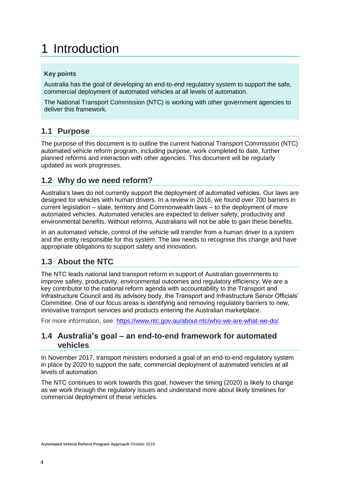# <span id="page-3-0"></span>1 Introduction

### **Key points**

Australia has the goal of developing an end-to-end regulatory system to support the safe, commercial deployment of automated vehicles at all levels of automation.

The National Transport Commission (NTC) is working with other government agencies to deliver this framework.

# <span id="page-3-1"></span>**1.1 Purpose**

The purpose of this document is to outline the current National Transport Commission (NTC) automated vehicle reform program, including purpose, work completed to date, further planned reforms and interaction with other agencies. This document will be regularly updated as work progresses.

## <span id="page-3-2"></span>**1.2 Why do we need reform?**

Australia's laws do not currently support the deployment of automated vehicles. Our laws are designed for vehicles with human drivers. In a review in 2016, we found over 700 barriers in current legislation – state, territory and Commonwealth laws – to the deployment of more automated vehicles. Automated vehicles are expected to deliver safety, productivity and environmental benefits. Without reforms, Australians will not be able to gain these benefits.

In an automated vehicle, control of the vehicle will transfer from a human driver to a system and the entity responsible for this system. The law needs to recognise this change and have appropriate obligations to support safety and innovation.

# <span id="page-3-3"></span>**1.3 About the NTC**

The NTC leads national land transport reform in support of Australian governments to improve safety, productivity, environmental outcomes and regulatory efficiency. We are a key contributor to the national reform agenda with accountability to the Transport and Infrastructure Council and its advisory body, the Transport and Infrastructure Senior Officials' Committee. One of our focus areas is identifying and removing regulatory barriers to new, innovative transport services and products entering the Australian marketplace.

For more information, see: [https://www.ntc.gov.au/about-ntc/who-we-are-what-we-do/.](https://www.ntc.gov.au/about-ntc/who-we-are-what-we-do/)

## <span id="page-3-4"></span>**1.4 Australia's goal – an end-to-end framework for automated vehicles**

In November 2017, transport ministers endorsed a goal of an end-to-end regulatory system in place by 2020 to support the safe, commercial deployment of automated vehicles at all levels of automation.

The NTC continues to work towards this goal, however the timing (2020) is likely to change as we work through the regulatory issues and understand more about likely timelines for commercial deployment of these vehicles.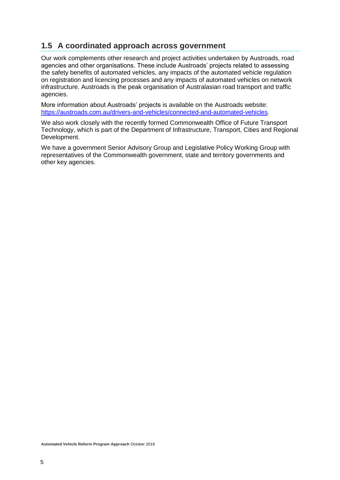## <span id="page-4-0"></span>**1.5 A coordinated approach across government**

Our work complements other research and project activities undertaken by Austroads, road agencies and other organisations. These include Austroads' projects related to assessing the safety benefits of automated vehicles, any impacts of the automated vehicle regulation on registration and licencing processes and any impacts of automated vehicles on network infrastructure. Austroads is the peak organisation of Australasian road transport and traffic agencies.

More information about Austroads' projects is available on the Austroads website: [https://austroads.com.au/drivers-and-vehicles/connected-and-automated-vehicles.](https://austroads.com.au/drivers-and-vehicles/connected-and-automated-vehicles)

We also work closely with the recently formed Commonwealth Office of Future Transport Technology, which is part of the Department of Infrastructure, Transport, Cities and Regional Development.

We have a government Senior Advisory Group and Legislative Policy Working Group with representatives of the Commonwealth government, state and territory governments and other key agencies.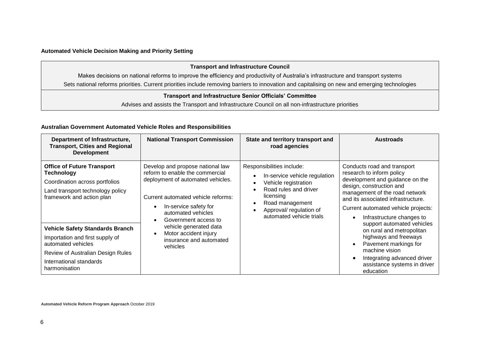#### **Automated Vehicle Decision Making and Priority Setting**

|                                                                 | <b>Transport and Infrastructure Council</b>                                                                                                    |  |  |
|-----------------------------------------------------------------|------------------------------------------------------------------------------------------------------------------------------------------------|--|--|
|                                                                 | Makes decisions on national reforms to improve the efficiency and productivity of Australia's infrastructure and transport systems             |  |  |
|                                                                 | Sets national reforms priorities. Current priorities include removing barriers to innovation and capitalising on new and emerging technologies |  |  |
| <b>Transport and Infrastructure Senior Officials' Committee</b> |                                                                                                                                                |  |  |
|                                                                 | Advises and assists the Transport and Infrastructure Council on all non-infrastructure priorities                                              |  |  |

#### **Australian Government Automated Vehicle Roles and Responsibilities**

| Department of Infrastructure,<br><b>Transport, Cities and Regional</b><br><b>Development</b>                                                                                                                                                                                                                                                  | <b>National Transport Commission</b>                                                                                                                                                                                                                                                                                                                   | State and territory transport and<br>road agencies                                                                                                                                                 | <b>Austroads</b>                                                                                                                                                                                                                                                                                                                                                                                                                                                               |
|-----------------------------------------------------------------------------------------------------------------------------------------------------------------------------------------------------------------------------------------------------------------------------------------------------------------------------------------------|--------------------------------------------------------------------------------------------------------------------------------------------------------------------------------------------------------------------------------------------------------------------------------------------------------------------------------------------------------|----------------------------------------------------------------------------------------------------------------------------------------------------------------------------------------------------|--------------------------------------------------------------------------------------------------------------------------------------------------------------------------------------------------------------------------------------------------------------------------------------------------------------------------------------------------------------------------------------------------------------------------------------------------------------------------------|
| <b>Office of Future Transport</b><br><b>Technology</b><br>Coordination across portfolios<br>Land transport technology policy<br>framework and action plan<br><b>Vehicle Safety Standards Branch</b><br>Importation and first supply of<br>automated vehicles<br>Review of Australian Design Rules<br>International standards<br>harmonisation | Develop and propose national law<br>reform to enable the commercial<br>deployment of automated vehicles.<br>Current automated vehicle reforms:<br>In-service safety for<br>$\bullet$<br>automated vehicles<br>Government access to<br>$\bullet$<br>vehicle generated data<br>Motor accident injury<br>$\bullet$<br>insurance and automated<br>vehicles | Responsibilities include:<br>In-service vehicle regulation<br>Vehicle registration<br>Road rules and driver<br>licensing<br>Road management<br>Approval/ regulation of<br>automated vehicle trials | Conducts road and transport<br>research to inform policy<br>development and guidance on the<br>design, construction and<br>management of the road network<br>and its associated infrastructure.<br>Current automated vehicle projects:<br>Infrastructure changes to<br>support automated vehicles<br>on rural and metropolitan<br>highways and freeways<br>Pavement markings for<br>machine vision<br>Integrating advanced driver<br>assistance systems in driver<br>education |

**Automated Vehicle Reform Program Approach** October 2019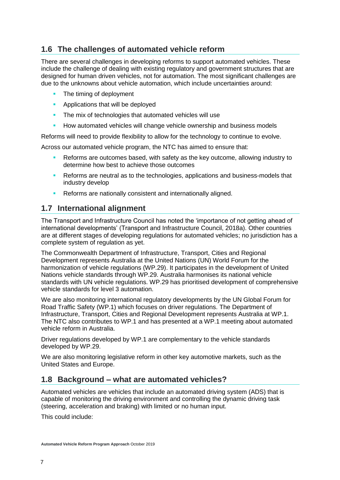# <span id="page-6-0"></span>**1.6 The challenges of automated vehicle reform**

There are several challenges in developing reforms to support automated vehicles. These include the challenge of dealing with existing regulatory and government structures that are designed for human driven vehicles, not for automation. The most significant challenges are due to the unknowns about vehicle automation, which include uncertainties around:

- The timing of deployment
- Applications that will be deployed
- **The mix of technologies that automated vehicles will use**
- **How automated vehicles will change vehicle ownership and business models**

Reforms will need to provide flexibility to allow for the technology to continue to evolve.

Across our automated vehicle program, the NTC has aimed to ensure that:

- Reforms are outcomes based, with safety as the key outcome, allowing industry to determine how best to achieve those outcomes
- **EXECT** Reforms are neutral as to the technologies, applications and business-models that industry develop
- **EXECTED FIRE A** Reforms are nationally consistent and internationally aligned.

## <span id="page-6-1"></span>**1.7 International alignment**

The Transport and Infrastructure Council has noted the 'importance of not getting ahead of international developments' (Transport and Infrastructure Council, 2018a). Other countries are at different stages of developing regulations for automated vehicles; no jurisdiction has a complete system of regulation as yet.

The Commonwealth Department of Infrastructure, Transport, Cities and Regional Development represents Australia at the United Nations (UN) World Forum for the harmonization of vehicle regulations (WP.29). It participates in the development of United Nations vehicle standards through WP.29. Australia harmonises its national vehicle standards with UN vehicle regulations. WP.29 has prioritised development of comprehensive vehicle standards for level 3 automation.

We are also monitoring international regulatory developments by the UN Global Forum for Road Traffic Safety (WP.1) which focuses on driver regulations. The Department of Infrastructure, Transport, Cities and Regional Development represents Australia at WP.1. The NTC also contributes to WP.1 and has presented at a WP.1 meeting about automated vehicle reform in Australia.

Driver regulations developed by WP.1 are complementary to the vehicle standards developed by WP.29.

We are also monitoring legislative reform in other key automotive markets, such as the United States and Europe.

### <span id="page-6-2"></span>**1.8 Background – what are automated vehicles?**

Automated vehicles are vehicles that include an automated driving system (ADS) that is capable of monitoring the driving environment and controlling the dynamic driving task (steering, acceleration and braking) with limited or no human input.

This could include: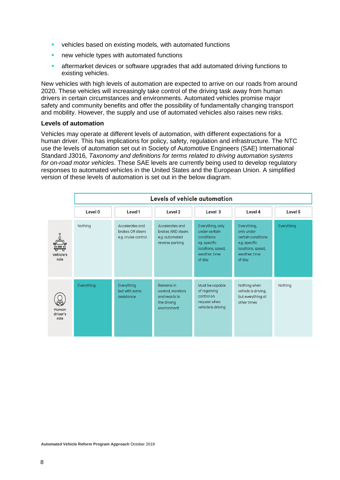- vehicles based on existing models, with automated functions
- new vehicle types with automated functions
- **EXECTE A** aftermarket devices or software upgrades that add automated driving functions to existing vehicles.

New vehicles with high levels of automation are expected to arrive on our roads from around 2020. These vehicles will increasingly take control of the driving task away from human drivers in certain circumstances and environments. Automated vehicles promise major safety and community benefits and offer the possibility of fundamentally changing transport and mobility. However, the supply and use of automated vehicles also raises new risks.

#### **Levels of automation**

Vehicles may operate at different levels of automation, with different expectations for a human driver. This has implications for policy, safety, regulation and infrastructure. The NTC use the levels of automation set out in Society of Automotive Engineers (SAE) International Standard J3016*, Taxonomy and definitions for terms related to driving automation systems for on-road motor vehicles*. These SAE levels are currently being used to develop regulatory responses to automated vehicles in the United States and the European Union. A simplified version of these levels of automation is set out in the below diagram.

|                                        | Levels of vehicle automation |                                                            |                                                                                |                                                                                                                 |                                                                                                                  |                    |
|----------------------------------------|------------------------------|------------------------------------------------------------|--------------------------------------------------------------------------------|-----------------------------------------------------------------------------------------------------------------|------------------------------------------------------------------------------------------------------------------|--------------------|
|                                        | <b>Level 0</b>               | Level 1                                                    | Level <sub>2</sub>                                                             | Level 3                                                                                                         | Level 4                                                                                                          | Level <sub>5</sub> |
| $\ddot{=}$<br><b>Vehicle's</b><br>role | Nothing                      | Accelerates and<br>brakes OR steers<br>e.g. cruise control | Accelerates and<br>brakes AND steers<br>e.g. automated<br>reverse parking      | Everything, only<br>under certain<br>conditions<br>eg. specific<br>locations, speed,<br>weather, time<br>of day | Everything,<br>only under<br>certain conditions<br>e.g. specific<br>locations, speed,<br>weather, time<br>of day | Everything         |
| Human<br>driver's<br>role              | Everything                   | Everything<br>but with some<br>assistance                  | Remains in<br>control, monitors<br>and reacts to<br>the driving<br>environment | Must be capable<br>of regaining<br>control on<br>request when<br>vehicle is driving                             | Nothing when<br>vehicle is driving,<br>but everything at<br>other times                                          | Nothing            |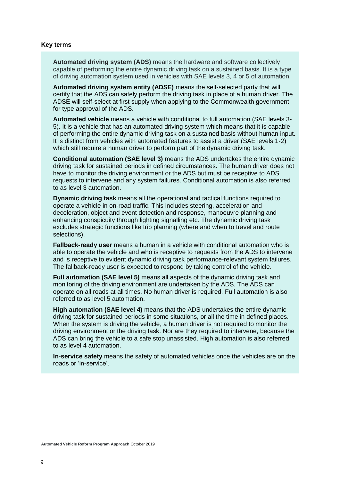#### **Key terms**

**Automated driving system (ADS)** means the hardware and software collectively capable of performing the entire dynamic driving task on a sustained basis. It is a type of driving automation system used in vehicles with SAE levels 3, 4 or 5 of automation.

**Automated driving system entity (ADSE)** means the self-selected party that will certify that the ADS can safely perform the driving task in place of a human driver. The ADSE will self-select at first supply when applying to the Commonwealth government for type approval of the ADS.

**Automated vehicle** means a vehicle with conditional to full automation (SAE levels 3- 5). It is a vehicle that has an automated driving system which means that it is capable of performing the entire dynamic driving task on a sustained basis without human input. It is distinct from vehicles with automated features to assist a driver (SAE levels 1-2) which still require a human driver to perform part of the dynamic driving task.

**Conditional automation (SAE level 3)** means the ADS undertakes the entire dynamic driving task for sustained periods in defined circumstances. The human driver does not have to monitor the driving environment or the ADS but must be receptive to ADS requests to intervene and any system failures. Conditional automation is also referred to as level 3 automation.

**Dynamic driving task** means all the operational and tactical functions required to operate a vehicle in on-road traffic. This includes steering, acceleration and deceleration, object and event detection and response, manoeuvre planning and enhancing conspicuity through lighting signalling etc. The dynamic driving task excludes strategic functions like trip planning (where and when to travel and route selections).

**Fallback-ready user** means a human in a vehicle with conditional automation who is able to operate the vehicle and who is receptive to requests from the ADS to intervene and is receptive to evident dynamic driving task performance-relevant system failures. The fallback-ready user is expected to respond by taking control of the vehicle.

**Full automation (SAE level 5)** means all aspects of the dynamic driving task and monitoring of the driving environment are undertaken by the ADS. The ADS can operate on all roads at all times. No human driver is required. Full automation is also referred to as level 5 automation.

**High automation (SAE level 4)** means that the ADS undertakes the entire dynamic driving task for sustained periods in some situations, or all the time in defined places. When the system is driving the vehicle, a human driver is not required to monitor the driving environment or the driving task. Nor are they required to intervene, because the ADS can bring the vehicle to a safe stop unassisted. High automation is also referred to as level 4 automation.

**In-service safety** means the safety of automated vehicles once the vehicles are on the roads or 'in-service'.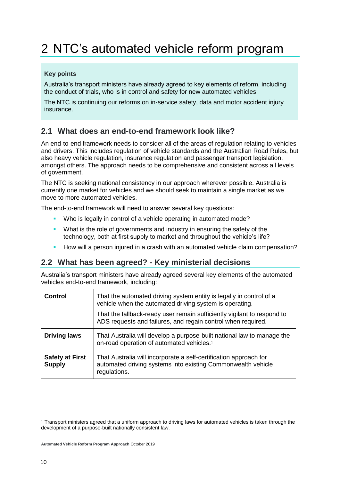# <span id="page-9-0"></span>2 NTC's automated vehicle reform program

### **Key points**

Australia's transport ministers have already agreed to key elements of reform, including the conduct of trials, who is in control and safety for new automated vehicles.

The NTC is continuing our reforms on in-service safety, data and motor accident injury insurance.

# <span id="page-9-1"></span>**2.1 What does an end-to-end framework look like?**

An end-to-end framework needs to consider all of the areas of regulation relating to vehicles and drivers. This includes regulation of vehicle standards and the Australian Road Rules, but also heavy vehicle regulation, insurance regulation and passenger transport legislation, amongst others. The approach needs to be comprehensive and consistent across all levels of government.

The NTC is seeking national consistency in our approach wherever possible. Australia is currently one market for vehicles and we should seek to maintain a single market as we move to more automated vehicles.

The end-to-end framework will need to answer several key questions:

- Who is legally in control of a vehicle operating in automated mode?
- **•** What is the role of governments and industry in ensuring the safety of the technology, both at first supply to market and throughout the vehicle's life?
- How will a person injured in a crash with an automated vehicle claim compensation?

# <span id="page-9-2"></span>**2.2 What has been agreed? - Key ministerial decisions**

Australia's transport ministers have already agreed several key elements of the automated vehicles end-to-end framework, including:

| <b>Control</b>                          | That the automated driving system entity is legally in control of a<br>vehicle when the automated driving system is operating.<br>That the fallback-ready user remain sufficiently vigilant to respond to<br>ADS requests and failures, and regain control when required. |
|-----------------------------------------|---------------------------------------------------------------------------------------------------------------------------------------------------------------------------------------------------------------------------------------------------------------------------|
| <b>Driving laws</b>                     | That Australia will develop a purpose-built national law to manage the<br>on-road operation of automated vehicles. <sup>1</sup>                                                                                                                                           |
| <b>Safety at First</b><br><b>Supply</b> | That Australia will incorporate a self-certification approach for<br>automated driving systems into existing Commonwealth vehicle<br>regulations.                                                                                                                         |

-

<sup>1</sup> Transport ministers agreed that a uniform approach to driving laws for automated vehicles is taken through the development of a purpose-built nationally consistent law.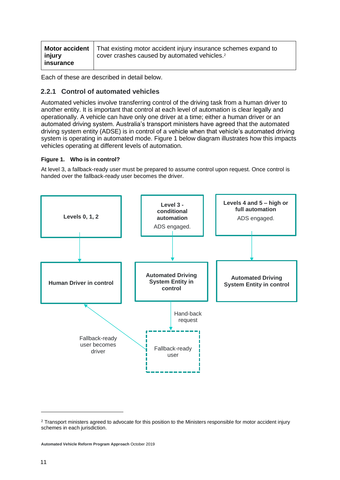|           | <b>Motor accident</b>   That existing motor accident injury insurance schemes expand to |  |  |  |
|-----------|-----------------------------------------------------------------------------------------|--|--|--|
| injury    | cover crashes caused by automated vehicles. <sup>2</sup>                                |  |  |  |
| insurance |                                                                                         |  |  |  |

Each of these are described in detail below.

### <span id="page-10-0"></span>**2.2.1 Control of automated vehicles**

Automated vehicles involve transferring control of the driving task from a human driver to another entity. It is important that control at each level of automation is clear legally and operationally. A vehicle can have only one driver at a time; either a human driver or an automated driving system. Australia's transport ministers have agreed that the automated driving system entity (ADSE) is in control of a vehicle when that vehicle's automated driving system is operating in automated mode. Figure 1 below diagram illustrates how this impacts vehicles operating at different levels of automation.

#### <span id="page-10-1"></span>**Figure 1. Who is in control?**

At level 3, a fallback-ready user must be prepared to assume control upon request. Once control is handed over the fallback-ready user becomes the driver.



-

<sup>&</sup>lt;sup>2</sup> Transport ministers agreed to advocate for this position to the Ministers responsible for motor accident injury schemes in each jurisdiction.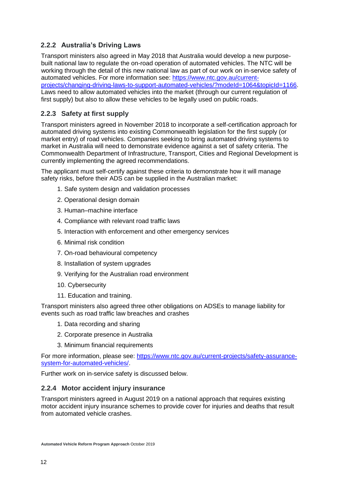## <span id="page-11-0"></span>**2.2.2 Australia's Driving Laws**

Transport ministers also agreed in May 2018 that Australia would develop a new purposebuilt national law to regulate the on-road operation of automated vehicles. The NTC will be working through the detail of this new national law as part of our work on in-service safety of automated vehicles. For more information see: [https://www.ntc.gov.au/current](https://www.ntc.gov.au/current-projects/changing-driving-laws-to-support-automated-vehicles/?modeId=1064&topicId=1166)[projects/changing-driving-laws-to-support-automated-vehicles/?modeId=1064&topicId=1166.](https://www.ntc.gov.au/current-projects/changing-driving-laws-to-support-automated-vehicles/?modeId=1064&topicId=1166) Laws need to allow automated vehicles into the market (through our current regulation of first supply) but also to allow these vehicles to be legally used on public roads.

## <span id="page-11-1"></span>**2.2.3 Safety at first supply**

Transport ministers agreed in November 2018 to incorporate a self-certification approach for automated driving systems into existing Commonwealth legislation for the first supply (or market entry) of road vehicles. Companies seeking to bring automated driving systems to market in Australia will need to demonstrate evidence against a set of safety criteria. The Commonwealth Department of Infrastructure, Transport, Cities and Regional Development is currently implementing the agreed recommendations.

The applicant must self-certify against these criteria to demonstrate how it will manage safety risks, before their ADS can be supplied in the Australian market:

- 1. Safe system design and validation processes
- 2. Operational design domain
- 3. Human–machine interface
- 4. Compliance with relevant road traffic laws
- 5. Interaction with enforcement and other emergency services
- 6. Minimal risk condition
- 7. On-road behavioural competency
- 8. Installation of system upgrades
- 9. Verifying for the Australian road environment
- 10. Cybersecurity
- 11. Education and training.

Transport ministers also agreed three other obligations on ADSEs to manage liability for events such as road traffic law breaches and crashes

- 1. Data recording and sharing
- 2. Corporate presence in Australia
- 3. Minimum financial requirements

For more information, please see: [https://www.ntc.gov.au/current-projects/safety-assurance](https://www.ntc.gov.au/current-projects/safety-assurance-system-for-automated-vehicles/)[system-for-automated-vehicles/.](https://www.ntc.gov.au/current-projects/safety-assurance-system-for-automated-vehicles/)

Further work on in-service safety is discussed below.

#### <span id="page-11-2"></span>**2.2.4 Motor accident injury insurance**

Transport ministers agreed in August 2019 on a national approach that requires existing motor accident injury insurance schemes to provide cover for injuries and deaths that result from automated vehicle crashes.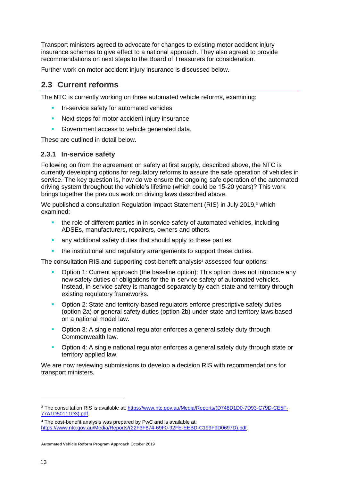Transport ministers agreed to advocate for changes to existing motor accident injury insurance schemes to give effect to a national approach. They also agreed to provide recommendations on next steps to the Board of Treasurers for consideration.

Further work on motor accident injury insurance is discussed below.

## <span id="page-12-0"></span>**2.3 Current reforms**

The NTC is currently working on three automated vehicle reforms, examining:

- In-service safety for automated vehicles
- Next steps for motor accident injury insurance
- Government access to vehicle generated data.

These are outlined in detail below.

#### <span id="page-12-1"></span>**2.3.1 In-service safety**

Following on from the agreement on safety at first supply, described above, the NTC is currently developing options for regulatory reforms to assure the safe operation of vehicles in service. The key question is, how do we ensure the ongoing safe operation of the automated driving system throughout the vehicle's lifetime (which could be 15-20 years)? This work brings together the previous work on driving laws described above.

We published a consultation Regulation Impact Statement (RIS) in July 2019,<sup>3</sup> which examined:

- the role of different parties in in-service safety of automated vehicles, including ADSEs, manufacturers, repairers, owners and others.
- **E** any additional safety duties that should apply to these parties
- the institutional and regulatory arrangements to support these duties.

The consultation RIS and supporting cost-benefit analysis<sup>4</sup> assessed four options:

- Option 1: Current approach (the baseline option): This option does not introduce any new safety duties or obligations for the in-service safety of automated vehicles. Instead, in-service safety is managed separately by each state and territory through existing regulatory frameworks.
- **•** Option 2: State and territory-based regulators enforce prescriptive safety duties (option 2a) or general safety duties (option 2b) under state and territory laws based on a national model law.
- **•** Option 3: A single national regulator enforces a general safety duty through Commonwealth law.
- **•** Option 4: A single national regulator enforces a general safety duty through state or territory applied law.

We are now reviewing submissions to develop a decision RIS with recommendations for transport ministers.

1

<sup>3</sup> The consultation RIS is available at: [https://www.ntc.gov.au/Media/Reports/\(D748D1D0-7D93-C79D-CE5F-](https://www.ntc.gov.au/Media/Reports/(D748D1D0-7D93-C79D-CE5F-77A1D50111D3).pdf)[77A1D50111D3\).pdf.](https://www.ntc.gov.au/Media/Reports/(D748D1D0-7D93-C79D-CE5F-77A1D50111D3).pdf)

<sup>4</sup> The cost-benefit analysis was prepared by PwC and is available at: [https://www.ntc.gov.au/Media/Reports/\(22F3F874-69F0-92FE-EEBD-C199F9D0697D\).pdf.](https://www.ntc.gov.au/Media/Reports/(22F3F874-69F0-92FE-EEBD-C199F9D0697D).pdf)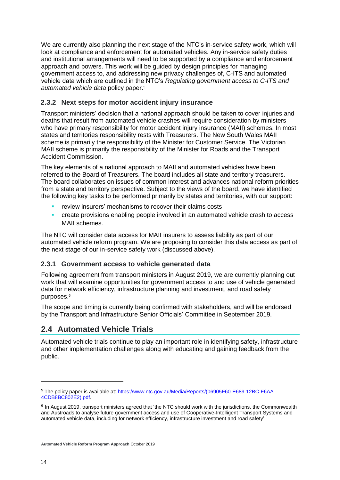We are currently also planning the next stage of the NTC's in-service safety work, which will look at compliance and enforcement for automated vehicles. Any in-service safety duties and institutional arrangements will need to be supported by a compliance and enforcement approach and powers. This work will be guided by design principles for managing government access to, and addressing new privacy challenges of, C-ITS and automated vehicle data which are outlined in the NTC's *Regulating government access to C-ITS and automated vehicle data* policy paper.<sup>5</sup>

## <span id="page-13-0"></span>**2.3.2 Next steps for motor accident injury insurance**

Transport ministers' decision that a national approach should be taken to cover injuries and deaths that result from automated vehicle crashes will require consideration by ministers who have primary responsibility for motor accident injury insurance (MAII) schemes. In most states and territories responsibility rests with Treasurers. The New South Wales MAII scheme is primarily the responsibility of the Minister for Customer Service. The Victorian MAII scheme is primarily the responsibility of the Minister for Roads and the Transport Accident Commission.

The key elements of a national approach to MAII and automated vehicles have been referred to the Board of Treasurers. The board includes all state and territory treasurers. The board collaborates on issues of common interest and advances national reform priorities from a state and territory perspective. Subject to the views of the board, we have identified the following key tasks to be performed primarily by states and territories, with our support:

- review insurers' mechanisms to recover their claims costs
- **•** create provisions enabling people involved in an automated vehicle crash to access MAII schemes.

The NTC will consider data access for MAII insurers to assess liability as part of our automated vehicle reform program. We are proposing to consider this data access as part of the next stage of our in-service safety work (discussed above).

### <span id="page-13-1"></span>**2.3.1 Government access to vehicle generated data**

Following agreement from transport ministers in August 2019, we are currently planning out work that will examine opportunities for government access to and use of vehicle generated data for network efficiency, infrastructure planning and investment, and road safety purposes.<sup>6</sup>

The scope and timing is currently being confirmed with stakeholders, and will be endorsed by the Transport and Infrastructure Senior Officials' Committee in September 2019.

# <span id="page-13-2"></span>**2.4 Automated Vehicle Trials**

Automated vehicle trials continue to play an important role in identifying safety, infrastructure and other implementation challenges along with educating and gaining feedback from the public.

-

<sup>5</sup> The policy paper is available at: [https://www.ntc.gov.au/Media/Reports/\(06905F60-E689-12BC-F6AA-](https://www.ntc.gov.au/Media/Reports/(06905F60-E689-12BC-F6AA-4CDB8BC802E2).pdf)[4CDB8BC802E2\).pdf.](https://www.ntc.gov.au/Media/Reports/(06905F60-E689-12BC-F6AA-4CDB8BC802E2).pdf)

<sup>&</sup>lt;sup>6</sup> In August 2019, transport ministers agreed that 'the NTC should work with the jurisdictions, the Commonwealth and Austroads to analyse future government access and use of Cooperative-Intelligent Transport Systems and automated vehicle data, including for network efficiency, infrastructure investment and road safety'.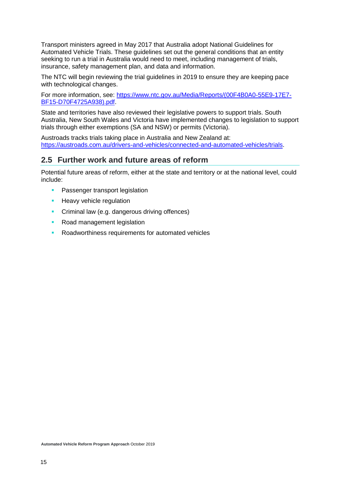Transport ministers agreed in May 2017 that Australia adopt National Guidelines for Automated Vehicle Trials. These guidelines set out the general conditions that an entity seeking to run a trial in Australia would need to meet, including management of trials, insurance, safety management plan, and data and information.

The NTC will begin reviewing the trial guidelines in 2019 to ensure they are keeping pace with technological changes.

For more information, see: [https://www.ntc.gov.au/Media/Reports/\(00F4B0A0-55E9-17E7-](https://www.ntc.gov.au/Media/Reports/(00F4B0A0-55E9-17E7-BF15-D70F4725A938).pdf) [BF15-D70F4725A938\).pdf.](https://www.ntc.gov.au/Media/Reports/(00F4B0A0-55E9-17E7-BF15-D70F4725A938).pdf)

State and territories have also reviewed their legislative powers to support trials. South Australia, New South Wales and Victoria have implemented changes to legislation to support trials through either exemptions (SA and NSW) or permits (Victoria).

Austroads tracks trials taking place in Australia and New Zealand at: [https://austroads.com.au/drivers-and-vehicles/connected-and-automated-vehicles/trials.](https://austroads.com.au/drivers-and-vehicles/connected-and-automated-vehicles/trials)

## <span id="page-14-0"></span>**2.5 Further work and future areas of reform**

Potential future areas of reform, either at the state and territory or at the national level, could include:

- **Passenger transport legislation**
- **E** Heavy vehicle regulation
- **Criminal law (e.g. dangerous driving offences)**
- Road management legislation
- Roadworthiness requirements for automated vehicles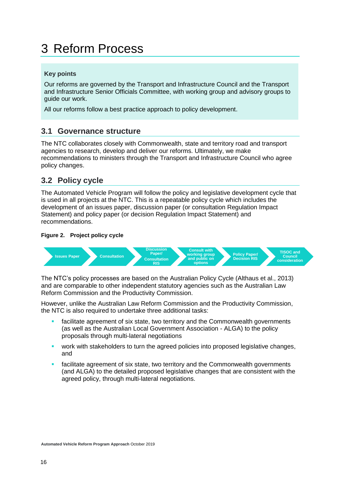# <span id="page-15-0"></span>3 Reform Process

### **Key points**

Our reforms are governed by the Transport and Infrastructure Council and the Transport and Infrastructure Senior Officials Committee, with working group and advisory groups to guide our work.

All our reforms follow a best practice approach to policy development.

## <span id="page-15-1"></span>**3.1 Governance structure**

The NTC collaborates closely with Commonwealth, state and territory road and transport agencies to research, develop and deliver our reforms. Ultimately, we make recommendations to ministers through the Transport and Infrastructure Council who agree policy changes.

# <span id="page-15-2"></span>**3.2 Policy cycle**

The Automated Vehicle Program will follow the policy and legislative development cycle that is used in all projects at the NTC. This is a repeatable policy cycle which includes the development of an issues paper, discussion paper (or consultation Regulation Impact Statement) and policy paper (or decision Regulation Impact Statement) and recommendations.

#### <span id="page-15-3"></span>**Figure 2. Project policy cycle**



The NTC's policy processes are based on the Australian Policy Cycle (Althaus et al., 2013) and are comparable to other independent statutory agencies such as the Australian Law Reform Commission and the Productivity Commission.

However, unlike the Australian Law Reform Commission and the Productivity Commission, the NTC is also required to undertake three additional tasks:

- **EXEDENT** facilitate agreement of six state, two territory and the Commonwealth governments (as well as the Australian Local Government Association - ALGA) to the policy proposals through multi-lateral negotiations
- **•** work with stakeholders to turn the agreed policies into proposed legislative changes, and
- facilitate agreement of six state, two territory and the Commonwealth governments (and ALGA) to the detailed proposed legislative changes that are consistent with the agreed policy, through multi-lateral negotiations.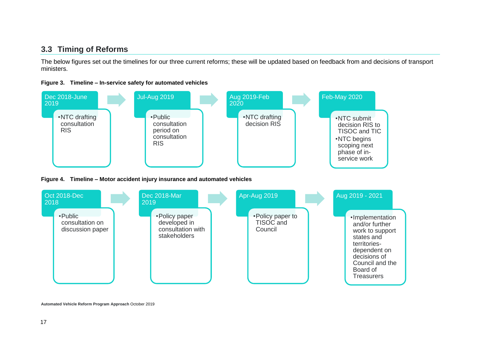## **3.3 Timing of Reforms**

The below figures set out the timelines for our three current reforms; these will be updated based on feedback from and decisions of transport ministers.



<span id="page-16-0"></span>

<span id="page-16-2"></span><span id="page-16-1"></span>**Automated Vehicle Reform Program Approach** October 2019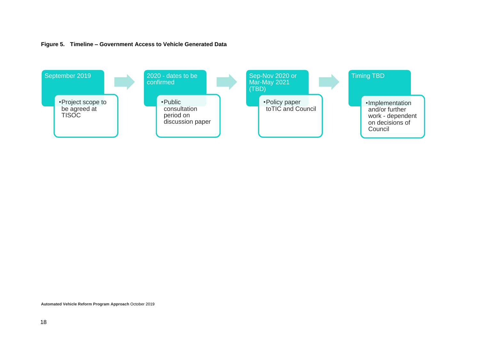

<span id="page-17-0"></span>

**Automated Vehicle Reform Program Approach** October 2019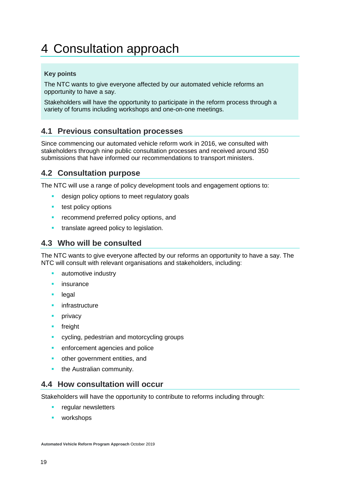# <span id="page-18-0"></span>4 Consultation approach

### **Key points**

The NTC wants to give everyone affected by our automated vehicle reforms an opportunity to have a say.

Stakeholders will have the opportunity to participate in the reform process through a variety of forums including workshops and one-on-one meetings.

# <span id="page-18-1"></span>**4.1 Previous consultation processes**

Since commencing our automated vehicle reform work in 2016, we consulted with stakeholders through nine public consultation processes and received around 350 submissions that have informed our recommendations to transport ministers.

## <span id="page-18-2"></span>**4.2 Consultation purpose**

The NTC will use a range of policy development tools and engagement options to:

- **E** design policy options to meet regulatory goals
- test policy options
- **EXECOMMEDIA PREFERRED POLICY OPTIONS, and**
- **•** translate agreed policy to legislation.

## <span id="page-18-3"></span>**4.3 Who will be consulted**

The NTC wants to give everyone affected by our reforms an opportunity to have a say. The NTC will consult with relevant organisations and stakeholders, including:

- automotive industry
- **·** insurance
- legal
- **·** infrastructure
- **•** privacy
- freight
- cycling, pedestrian and motorcycling groups
- **•** enforcement agencies and police
- other government entities, and
- **•** the Australian community.

#### <span id="page-18-4"></span>**4.4 How consultation will occur**

Stakeholders will have the opportunity to contribute to reforms including through:

- **•** regular newsletters
- workshops